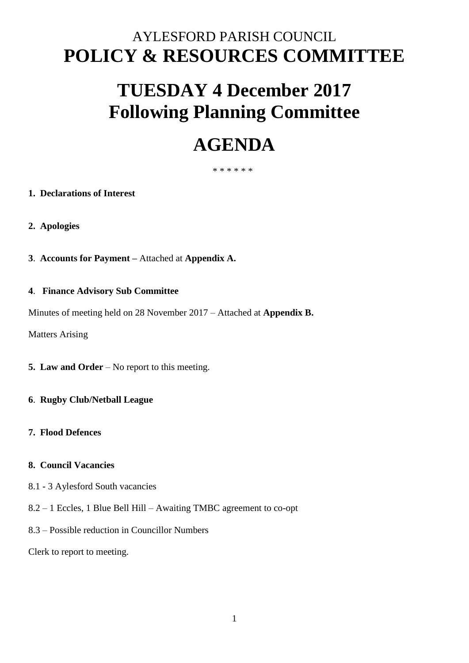# AYLESFORD PARISH COUNCIL **POLICY & RESOURCES COMMITTEE**

# **TUESDAY 4 December 2017 Following Planning Committee**

# **AGENDA**

## \* \* \* \* \* \*

## **1. Declarations of Interest**

- **2. Apologies**
- **3**. **Accounts for Payment –** Attached at **Appendix A.**

## **4**. **Finance Advisory Sub Committee**

Minutes of meeting held on 28 November 2017 – Attached at **Appendix B.** 

Matters Arising

- **5. Law and Order** No report to this meeting.
- **6**. **Rugby Club/Netball League**
- **7. Flood Defences**

#### **8. Council Vacancies**

- 8.1 3 Aylesford South vacancies
- 8.2 1 Eccles, 1 Blue Bell Hill Awaiting TMBC agreement to co-opt
- 8.3 Possible reduction in Councillor Numbers

Clerk to report to meeting.